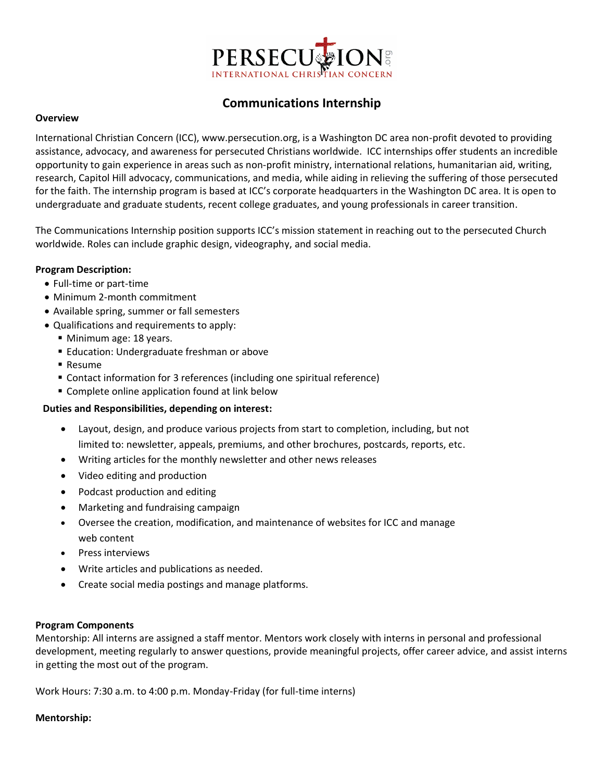

# **Communications Internship**

### **Overview**

International Christian Concern (ICC), www.persecution.org, is a Washington DC area non-profit devoted to providing assistance, advocacy, and awareness for persecuted Christians worldwide. ICC internships offer students an incredible opportunity to gain experience in areas such as non-profit ministry, international relations, humanitarian aid, writing, research, Capitol Hill advocacy, communications, and media, while aiding in relieving the suffering of those persecuted for the faith. The internship program is based at ICC's corporate headquarters in the Washington DC area. It is open to undergraduate and graduate students, recent college graduates, and young professionals in career transition.

The Communications Internship position supports ICC's mission statement in reaching out to the persecuted Church worldwide. Roles can include graphic design, videography, and social media.

## **Program Description:**

- Full-time or part-time
- Minimum 2-month commitment
- Available spring, summer or fall semesters
- Qualifications and requirements to apply:
	- Minimum age: 18 years.
	- **Education: Undergraduate freshman or above**
	- Resume
	- Contact information for 3 references (including one spiritual reference)
	- Complete online application found at link below

#### **Duties and Responsibilities, depending on interest:**

- Layout, design, and produce various projects from start to completion, including, but not limited to: newsletter, appeals, premiums, and other brochures, postcards, reports, etc.
- Writing articles for the monthly newsletter and other news releases
- Video editing and production
- Podcast production and editing
- Marketing and fundraising campaign
- Oversee the creation, modification, and maintenance of websites for ICC and manage web content
- Press interviews
- Write articles and publications as needed.
- Create social media postings and manage platforms.

#### **Program Components**

Mentorship: All interns are assigned a staff mentor. Mentors work closely with interns in personal and professional development, meeting regularly to answer questions, provide meaningful projects, offer career advice, and assist interns in getting the most out of the program.

Work Hours: 7:30 a.m. to 4:00 p.m. Monday-Friday (for full-time interns)

#### **Mentorship:**